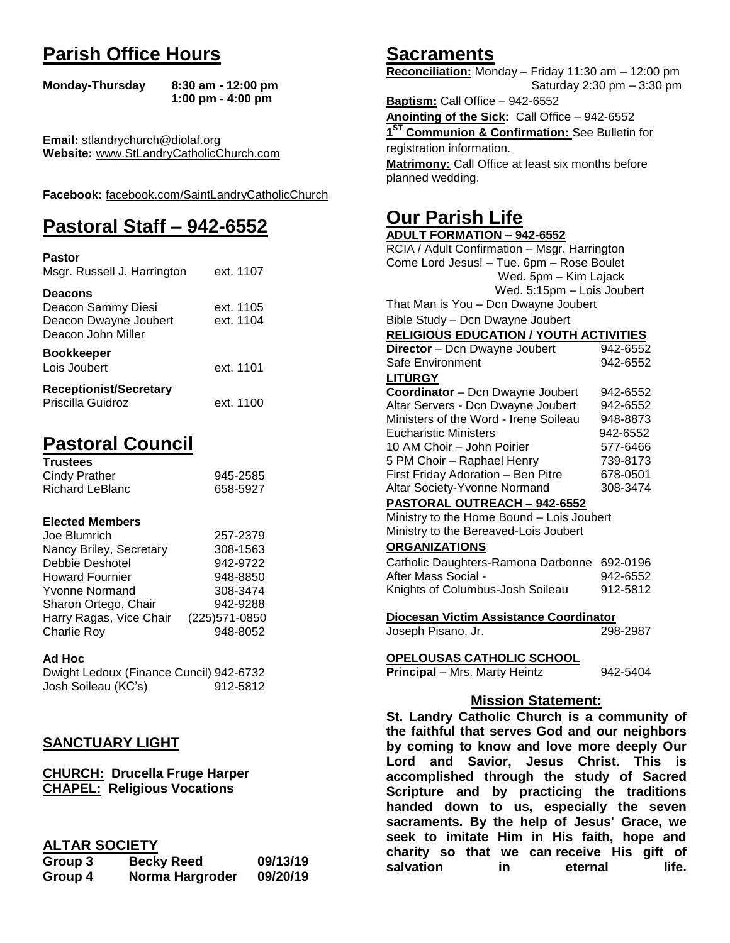# **Parish Office Hours**

```
Monday-Thursday 8:30 am - 12:00 pm
       1:00 pm - 4:00 pm
```
**Email:** stlandrychurch@diolaf.org **Website:** [www.StLandryCatholicChurch.com](http://www.stlandrycatholicchurch.com/)

**Facebook:** [facebook.com/SaintLandryCatholicChurch](http://facebook.com/SaintLandryCatholicChurch)

# **Pastoral Staff – 942-6552**

| <b>Pastor</b><br>Msgr. Russell J. Harrington                                        | ext. 1107              |
|-------------------------------------------------------------------------------------|------------------------|
| <b>Deacons</b><br>Deacon Sammy Diesi<br>Deacon Dwayne Joubert<br>Deacon John Miller | ext. 1105<br>ext. 1104 |
| <b>Bookkeeper</b><br>Lois Joubert                                                   | ext. 1101              |
| <b>Receptionist/Secretary</b><br>Priscilla Guidroz                                  | ext. 1100              |

# **Pastoral Council**

| <b>Trustees</b> |          |
|-----------------|----------|
| Cindy Prather   | 945-2585 |
| Richard LeBlanc | 658-5927 |

#### **Elected Members**

| Joe Blumrich            | 257-2379       |
|-------------------------|----------------|
| Nancy Briley, Secretary | 308-1563       |
| Debbie Deshotel         | 942-9722       |
| <b>Howard Fournier</b>  | 948-8850       |
| <b>Yvonne Normand</b>   | 308-3474       |
| Sharon Ortego, Chair    | 942-9288       |
| Harry Ragas, Vice Chair | (225) 571-0850 |
| <b>Charlie Roy</b>      | 948-8052       |

#### **Ad Hoc**

Dwight Ledoux (Finance Cuncil) 942-6732 Josh Soileau (KC's) 912-5812

# **SANCTUARY LIGHT**

**CHURCH: Drucella Fruge Harper CHAPEL: Religious Vocations**

## **ALTAR SOCIETY**

| Group 3 | <b>Becky Reed</b> | 09/13/19 |
|---------|-------------------|----------|
| Group 4 | Norma Hargroder   | 09/20/19 |

# **Sacraments**

**Reconciliation:** Monday – Friday 11:30 am – 12:00 pm Saturday 2:30 pm – 3:30 pm

**Baptism:** Call Office – 942-6552 **Anointing of the Sick:** Call Office – 942-6552 **1 ST Communion & Confirmation:** See Bulletin for registration information. **Matrimony:** Call Office at least six months before planned wedding.

# **Our Parish Life**

| <b>ADULT FORMATION - 942-6552</b>                                 |          |
|-------------------------------------------------------------------|----------|
| RCIA / Adult Confirmation - Msgr. Harrington                      |          |
| Come Lord Jesus! - Tue. 6pm - Rose Boulet                         |          |
| Wed. 5pm - Kim Lajack                                             |          |
| Wed. 5:15pm - Lois Joubert                                        |          |
| That Man is You - Dcn Dwayne Joubert                              |          |
| Bible Study - Dcn Dwayne Joubert                                  |          |
| <b>RELIGIOUS EDUCATION / YOUTH ACTIVITIES</b>                     |          |
| Director - Dcn Dwayne Joubert                                     | 942-6552 |
| Safe Environment                                                  | 942-6552 |
| <b>LITURGY</b>                                                    |          |
| Coordinator - Dcn Dwayne Joubert                                  | 942-6552 |
| Altar Servers - Dcn Dwayne Joubert                                | 942-6552 |
| Ministers of the Word - Irene Soileau                             | 948-8873 |
| <b>Eucharistic Ministers</b>                                      | 942-6552 |
| 10 AM Choir - John Poirier                                        | 577-6466 |
| 5 PM Choir - Raphael Henry                                        | 739-8173 |
| First Friday Adoration - Ben Pitre                                | 678-0501 |
| Altar Society-Yvonne Normand                                      | 308-3474 |
| PASTORAL OUTREACH - 942-6552                                      |          |
| Ministry to the Home Bound - Lois Joubert                         |          |
| Ministry to the Bereaved-Lois Joubert                             |          |
| <b>ORGANIZATIONS</b>                                              |          |
| Catholic Daughters-Ramona Darbonne 692-0196                       |          |
| After Mass Social -                                               | 942-6552 |
| Knights of Columbus-Josh Soileau                                  | 912-5812 |
|                                                                   |          |
| Diocesan Victim Assistance Coordinator                            |          |
| Joseph Pisano, Jr.                                                | 298-2987 |
|                                                                   |          |
| <b>OPELOUSAS CATHOLIC SCHOOL</b><br>Principal - Mrs. Marty Heintz | 942-5404 |
|                                                                   |          |
| <b>Mission Statement:</b>                                         |          |
|                                                                   |          |
| St. Landry Catholic Church is a community of                      |          |
| the faithful that serves God and our neighbors                    |          |
| by coming to know and love more deeply Our                        |          |
| Lord and Savior, Jesus Christ. This is                            |          |
| accomplished through the study of Sacred                          |          |
| Conjutuno and bu proofising the traditions                        |          |

**Lord and Savior, Jesus Christ. This is accomplished through the study of Sacred Scripture and by practicing the traditions handed down to us, especially the seven sacraments. By the help of Jesus' Grace, we seek to imitate Him in His faith, hope and charity so that we can receive His gift of salvation in** eternal life.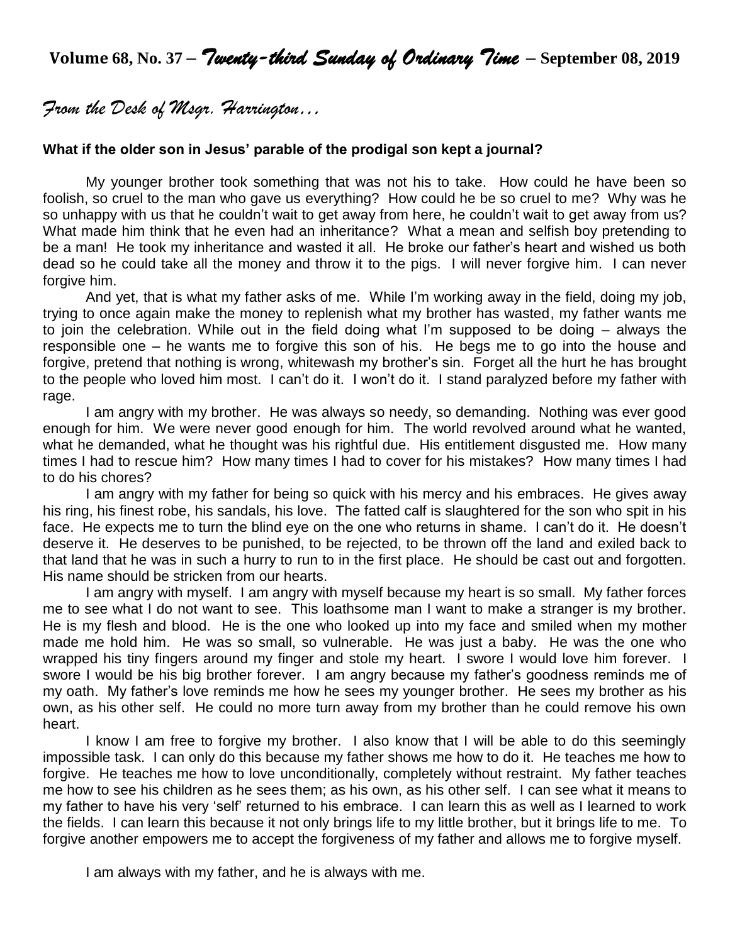**Volume 68, No. 37 –** *Twenty-third Sunday of Ordinary Time* **– September 08, <sup>2019</sup>**

*From the Desk of Msgr. Harrington…*

#### **What if the older son in Jesus' parable of the prodigal son kept a journal?**

My younger brother took something that was not his to take. How could he have been so foolish, so cruel to the man who gave us everything? How could he be so cruel to me? Why was he so unhappy with us that he couldn't wait to get away from here, he couldn't wait to get away from us? What made him think that he even had an inheritance? What a mean and selfish boy pretending to be a man! He took my inheritance and wasted it all. He broke our father's heart and wished us both dead so he could take all the money and throw it to the pigs. I will never forgive him. I can never forgive him.

And yet, that is what my father asks of me. While I'm working away in the field, doing my job, trying to once again make the money to replenish what my brother has wasted, my father wants me to join the celebration. While out in the field doing what I'm supposed to be doing – always the responsible one – he wants me to forgive this son of his. He begs me to go into the house and forgive, pretend that nothing is wrong, whitewash my brother's sin. Forget all the hurt he has brought to the people who loved him most. I can't do it. I won't do it. I stand paralyzed before my father with rage.

I am angry with my brother. He was always so needy, so demanding. Nothing was ever good enough for him. We were never good enough for him. The world revolved around what he wanted, what he demanded, what he thought was his rightful due. His entitlement disgusted me. How many times I had to rescue him? How many times I had to cover for his mistakes? How many times I had to do his chores?

I am angry with my father for being so quick with his mercy and his embraces. He gives away his ring, his finest robe, his sandals, his love. The fatted calf is slaughtered for the son who spit in his face. He expects me to turn the blind eye on the one who returns in shame. I can't do it. He doesn't deserve it. He deserves to be punished, to be rejected, to be thrown off the land and exiled back to that land that he was in such a hurry to run to in the first place. He should be cast out and forgotten. His name should be stricken from our hearts.

I am angry with myself. I am angry with myself because my heart is so small. My father forces me to see what I do not want to see. This loathsome man I want to make a stranger is my brother. He is my flesh and blood. He is the one who looked up into my face and smiled when my mother made me hold him. He was so small, so vulnerable. He was just a baby. He was the one who wrapped his tiny fingers around my finger and stole my heart. I swore I would love him forever. I swore I would be his big brother forever. I am angry because my father's goodness reminds me of my oath. My father's love reminds me how he sees my younger brother. He sees my brother as his own, as his other self. He could no more turn away from my brother than he could remove his own heart.

I know I am free to forgive my brother. I also know that I will be able to do this seemingly impossible task. I can only do this because my father shows me how to do it. He teaches me how to forgive. He teaches me how to love unconditionally, completely without restraint. My father teaches me how to see his children as he sees them; as his own, as his other self. I can see what it means to my father to have his very 'self' returned to his embrace. I can learn this as well as I learned to work the fields. I can learn this because it not only brings life to my little brother, but it brings life to me. To forgive another empowers me to accept the forgiveness of my father and allows me to forgive myself.

I am always with my father, and he is always with me.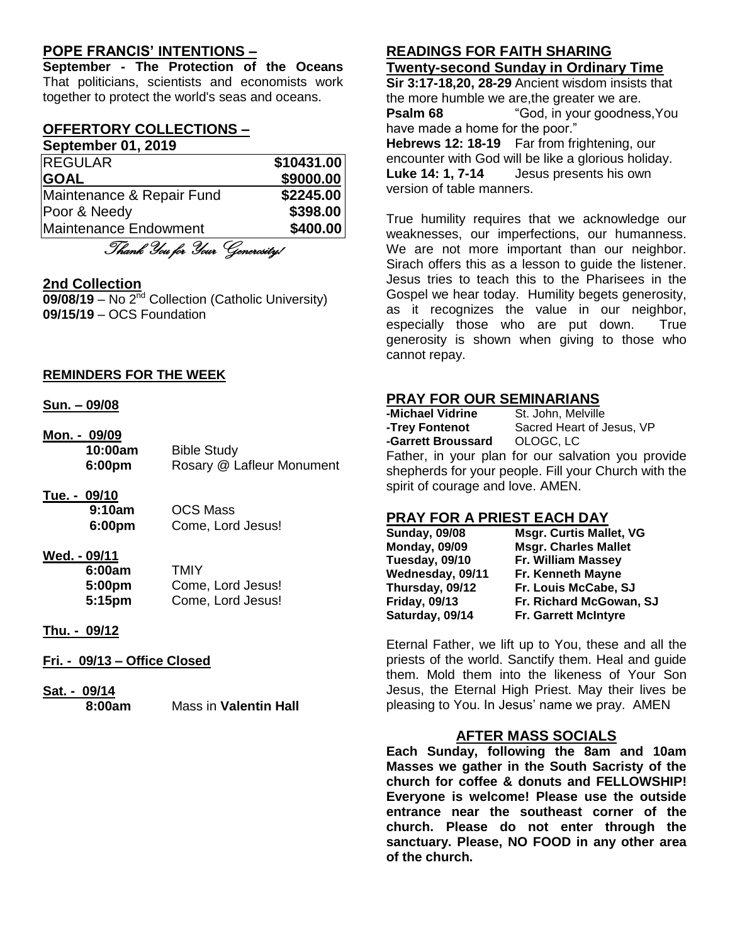## **POPE FRANCIS' INTENTIONS –**

**September - The Protection of the Oceans** That politicians, scientists and economists work together to protect the world's seas and oceans.

#### **OFFERTORY COLLECTIONS – September 01, 2019**

| <b>REGULAR</b>            | \$10431.00 |
|---------------------------|------------|
| <b>GOAL</b>               | \$9000.00  |
| Maintenance & Repair Fund | \$2245.00  |
| Poor & Needy              | \$398.00   |
| Maintenance Endowment     | \$400.00   |
| 191 1 91 CO               |            |

Thank You for Your Generosity!

#### **2nd Collection**

09/08/19 – No 2<sup>nd</sup> Collection (Catholic University) **09/15/19** – OCS Foundation

#### **REMINDERS FOR THE WEEK**

#### **Sun. – 09/08**

**Mon. - 09/09 10:00am** Bible Study **6:00pm** Rosary @ Lafleur Monument

# **Tue. - 09/10**

**9:10am** OCS Mass **6:00pm** Come, Lord Jesus!

## **Wed. - 09/11**

| 6:00am | TMIY              |
|--------|-------------------|
| 5:00pm | Come, Lord Jesus! |
| 5:15pm | Come, Lord Jesus! |

#### **Thu. - 09/12**

#### **Fri. - 09/13 – Office Closed**

**Sat. - 09/14 8:00am** Mass in **Valentin Hall**

#### **READINGS FOR FAITH SHARING Twenty-second Sunday in Ordinary Time**

**Sir 3:17-18,20, 28-29** Ancient wisdom insists that the more humble we are,the greater we are. **Psalm 68** "God, in your goodness, You have made a home for the poor." **Hebrews 12: 18-19** Far from frightening, our encounter with God will be like a glorious holiday. **Luke 14: 1, 7-14** Jesus presents his own version of table manners.

True humility requires that we acknowledge our weaknesses, our imperfections, our humanness. We are not more important than our neighbor. Sirach offers this as a lesson to guide the listener. Jesus tries to teach this to the Pharisees in the Gospel we hear today. Humility begets generosity, as it recognizes the value in our neighbor, especially those who are put down. True generosity is shown when giving to those who cannot repay.

## **PRAY FOR OUR SEMINARIANS**

| -Michael Vidrine                  | St. John, Melville                                   |
|-----------------------------------|------------------------------------------------------|
| -Trey Fontenot                    | Sacred Heart of Jesus, VP                            |
| -Garrett Broussard  OLOGC, LC     |                                                      |
|                                   | Father, in your plan for our salvation you provide   |
|                                   | shepherds for your people. Fill your Church with the |
| spirit of courage and love. AMEN. |                                                      |

#### **PRAY FOR A PRIEST EACH DAY**

| <b>Sunday, 09/08</b> | <b>Msgr. Curtis Mallet, VG</b> |
|----------------------|--------------------------------|
| <b>Monday, 09/09</b> | <b>Msgr. Charles Mallet</b>    |
| Tuesday, 09/10       | Fr. William Massey             |
| Wednesday, 09/11     | Fr. Kenneth Mayne              |
| Thursday, 09/12      | Fr. Louis McCabe, SJ           |
| <b>Friday, 09/13</b> | Fr. Richard McGowan, SJ        |
| Saturday, 09/14      | <b>Fr. Garrett McIntyre</b>    |

Eternal Father, we lift up to You, these and all the priests of the world. Sanctify them. Heal and guide them. Mold them into the likeness of Your Son Jesus, the Eternal High Priest. May their lives be pleasing to You. In Jesus' name we pray. AMEN

## **AFTER MASS SOCIALS**

**Each Sunday, following the 8am and 10am Masses we gather in the South Sacristy of the church for coffee & donuts and FELLOWSHIP! Everyone is welcome! Please use the outside entrance near the southeast corner of the church. Please do not enter through the sanctuary. Please, NO FOOD in any other area of the church.**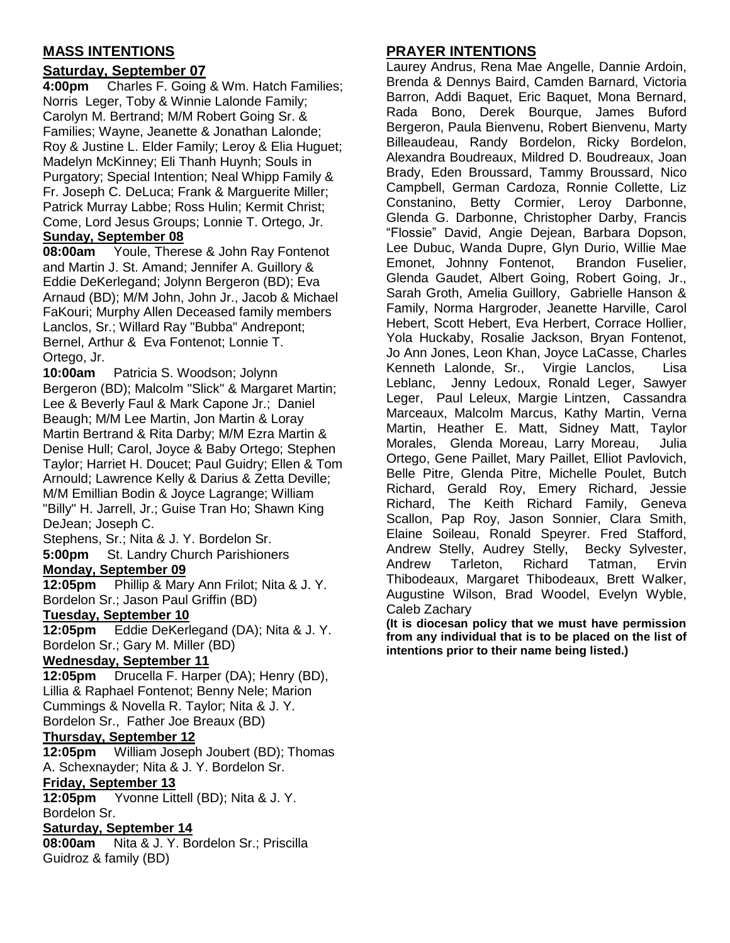# **MASS INTENTIONS**

# **Saturday, September 07**

**4:00pm** Charles F. Going & Wm. Hatch Families; Norris Leger, Toby & Winnie Lalonde Family; Carolyn M. Bertrand; M/M Robert Going Sr. & Families; Wayne, Jeanette & Jonathan Lalonde; Roy & Justine L. Elder Family; Leroy & Elia Huguet; Madelyn McKinney; Eli Thanh Huynh; Souls in Purgatory; Special Intention; Neal Whipp Family & Fr. Joseph C. DeLuca; Frank & Marguerite Miller; Patrick Murray Labbe; Ross Hulin; Kermit Christ; Come, Lord Jesus Groups; Lonnie T. Ortego, Jr. **Sunday, September 08**

**08:00am** Youle, Therese & John Ray Fontenot and Martin J. St. Amand; Jennifer A. Guillory & Eddie DeKerlegand; Jolynn Bergeron (BD); Eva Arnaud (BD); M/M John, John Jr., Jacob & Michael FaKouri; Murphy Allen Deceased family members Lanclos, Sr.; Willard Ray "Bubba" Andrepont; Bernel, Arthur & Eva Fontenot; Lonnie T. Ortego, Jr.

**10:00am** Patricia S. Woodson; Jolynn Bergeron (BD); Malcolm "Slick" & Margaret Martin; Lee & Beverly Faul & Mark Capone Jr.; Daniel Beaugh; M/M Lee Martin, Jon Martin & Loray Martin Bertrand & Rita Darby; M/M Ezra Martin & Denise Hull; Carol, Joyce & Baby Ortego; Stephen Taylor; Harriet H. Doucet; Paul Guidry; Ellen & Tom Arnould; Lawrence Kelly & Darius & Zetta Deville; M/M Emillian Bodin & Joyce Lagrange; William "Billy" H. Jarrell, Jr.; Guise Tran Ho; Shawn King DeJean; Joseph C.

Stephens, Sr.; Nita & J. Y. Bordelon Sr. **5:00pm** St. Landry Church Parishioners

#### **Monday, September 09**

**12:05pm** Phillip & Mary Ann Frilot; Nita & J. Y. Bordelon Sr.; Jason Paul Griffin (BD)

#### **Tuesday, September 10**

**12:05pm** Eddie DeKerlegand (DA); Nita & J. Y. Bordelon Sr.; Gary M. Miller (BD)

# **Wednesday, September 11**

**12:05pm** Drucella F. Harper (DA); Henry (BD), Lillia & Raphael Fontenot; Benny Nele; Marion Cummings & Novella R. Taylor; Nita & J. Y. Bordelon Sr., Father Joe Breaux (BD)

#### **Thursday, September 12**

**12:05pm** William Joseph Joubert (BD); Thomas A. Schexnayder; Nita & J. Y. Bordelon Sr.

#### **Friday, September 13**

**12:05pm** Yvonne Littell (BD); Nita & J. Y. Bordelon Sr.

#### **Saturday, September 14**

**08:00am** Nita & J. Y. Bordelon Sr.; Priscilla Guidroz & family (BD)

# **PRAYER INTENTIONS**

Laurey Andrus, Rena Mae Angelle, Dannie Ardoin, Brenda & Dennys Baird, Camden Barnard, Victoria Barron, Addi Baquet, Eric Baquet, Mona Bernard, Rada Bono, Derek Bourque, James Buford Bergeron, Paula Bienvenu, Robert Bienvenu, Marty Billeaudeau, Randy Bordelon, Ricky Bordelon, Alexandra Boudreaux, Mildred D. Boudreaux, Joan Brady, Eden Broussard, Tammy Broussard, Nico Campbell, German Cardoza, Ronnie Collette, Liz Constanino, Betty Cormier, Leroy Darbonne, Glenda G. Darbonne, Christopher Darby, Francis "Flossie" David, Angie Dejean, Barbara Dopson, Lee Dubuc, Wanda Dupre, Glyn Durio, Willie Mae Emonet, Johnny Fontenot, Brandon Fuselier, Glenda Gaudet, Albert Going, Robert Going, Jr., Sarah Groth, Amelia Guillory, Gabrielle Hanson & Family, Norma Hargroder, Jeanette Harville, Carol Hebert, Scott Hebert, Eva Herbert, Corrace Hollier, Yola Huckaby, Rosalie Jackson, Bryan Fontenot, Jo Ann Jones, Leon Khan, Joyce LaCasse, Charles Kenneth Lalonde, Sr., Virgie Lanclos, Lisa Leblanc, Jenny Ledoux, Ronald Leger, Sawyer Leger, Paul Leleux, Margie Lintzen, Cassandra Marceaux, Malcolm Marcus, Kathy Martin, Verna Martin, Heather E. Matt, Sidney Matt, Taylor Morales, Glenda Moreau, Larry Moreau, Julia Ortego, Gene Paillet, Mary Paillet, Elliot Pavlovich, Belle Pitre, Glenda Pitre, Michelle Poulet, Butch Richard, Gerald Roy, Emery Richard, Jessie Richard, The Keith Richard Family, Geneva Scallon, Pap Roy, Jason Sonnier, Clara Smith, Elaine Soileau, Ronald Speyrer. Fred Stafford, Andrew Stelly, Audrey Stelly, Becky Sylvester, Andrew Tarleton, Richard Tatman, Ervin Thibodeaux, Margaret Thibodeaux, Brett Walker, Augustine Wilson, Brad Woodel, Evelyn Wyble, Caleb Zachary

**(It is diocesan policy that we must have permission from any individual that is to be placed on the list of intentions prior to their name being listed.)**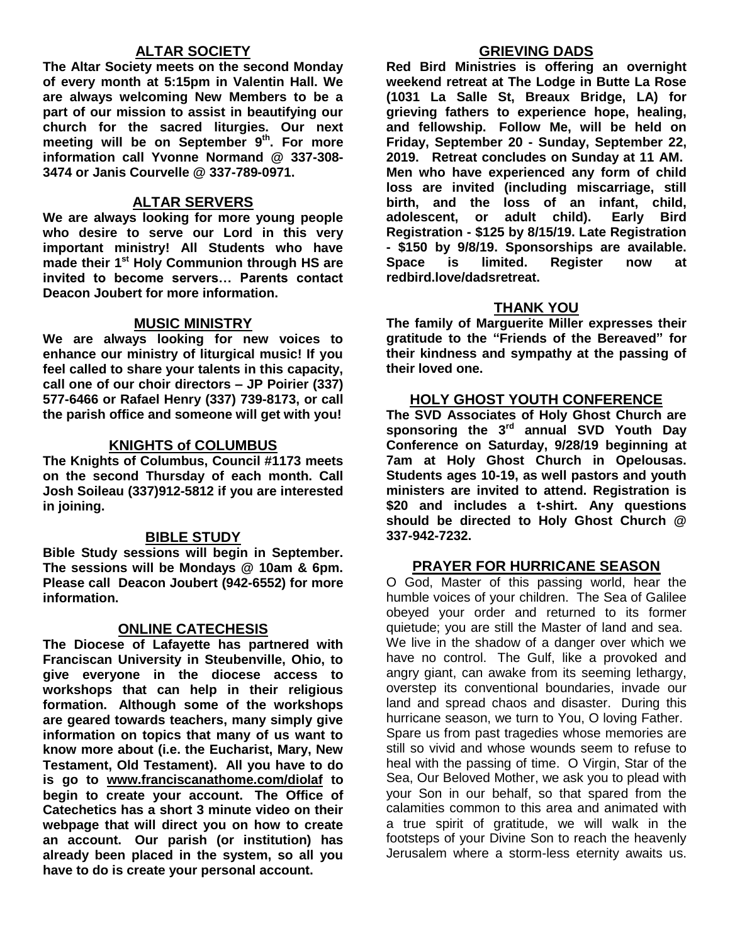# **ALTAR SOCIETY**

**The Altar Society meets on the second Monday of every month at 5:15pm in Valentin Hall. We are always welcoming New Members to be a part of our mission to assist in beautifying our church for the sacred liturgies. Our next meeting will be on September 9 th . For more information call Yvonne Normand @ 337-308- 3474 or Janis Courvelle @ 337-789-0971.** 

#### **ALTAR SERVERS**

**We are always looking for more young people who desire to serve our Lord in this very important ministry! All Students who have made their 1 st Holy Communion through HS are invited to become servers… Parents contact Deacon Joubert for more information.**

#### **MUSIC MINISTRY**

**We are always looking for new voices to enhance our ministry of liturgical music! If you feel called to share your talents in this capacity, call one of our choir directors – JP Poirier (337) 577-6466 or Rafael Henry (337) 739-8173, or call the parish office and someone will get with you!**

#### **KNIGHTS of COLUMBUS**

**The Knights of Columbus, Council #1173 meets on the second Thursday of each month. Call Josh Soileau (337)912-5812 if you are interested in joining.** 

#### **BIBLE STUDY**

**Bible Study sessions will begin in September. The sessions will be Mondays @ 10am & 6pm. Please call Deacon Joubert (942-6552) for more information.**

#### **ONLINE CATECHESIS**

**The Diocese of Lafayette has partnered with Franciscan University in Steubenville, Ohio, to give everyone in the diocese access to workshops that can help in their religious formation. Although some of the workshops are geared towards teachers, many simply give information on topics that many of us want to know more about (i.e. the Eucharist, Mary, New Testament, Old Testament). All you have to do is go to [www.franciscanathome.com/diolaf](http://www.franciscanathome.com/diolaf) to begin to create your account. The Office of Catechetics has a short 3 minute video on their webpage that will direct you on how to create an account. Our parish (or institution) has already been placed in the system, so all you have to do is create your personal account.**

#### **GRIEVING DADS**

**Red Bird Ministries is offering an overnight weekend retreat at The Lodge in Butte La Rose (1031 La Salle St, Breaux Bridge, LA) for grieving fathers to experience hope, healing, and fellowship. Follow Me, will be held on Friday, September 20 - Sunday, September 22, 2019. Retreat concludes on Sunday at 11 AM. Men who have experienced any form of child loss are invited (including miscarriage, still birth, and the loss of an infant, child, adolescent, or adult child). Early Bird Registration - \$125 by 8/15/19. Late Registration - \$150 by 9/8/19. Sponsorships are available. Space is limited. Register now at redbird.love/dadsretreat.**

#### **THANK YOU**

**The family of Marguerite Miller expresses their gratitude to the "Friends of the Bereaved" for their kindness and sympathy at the passing of their loved one.**

#### **HOLY GHOST YOUTH CONFERENCE**

**The SVD Associates of Holy Ghost Church are sponsoring the 3rd annual SVD Youth Day Conference on Saturday, 9/28/19 beginning at 7am at Holy Ghost Church in Opelousas. Students ages 10-19, as well pastors and youth ministers are invited to attend. Registration is \$20 and includes a t-shirt. Any questions should be directed to Holy Ghost Church @ 337-942-7232.**

#### **PRAYER FOR HURRICANE SEASON**

O God, Master of this passing world, hear the humble voices of your children. The Sea of Galilee obeyed your order and returned to its former quietude; you are still the Master of land and sea. We live in the shadow of a danger over which we have no control. The Gulf, like a provoked and angry giant, can awake from its seeming lethargy, overstep its conventional boundaries, invade our land and spread chaos and disaster. During this hurricane season, we turn to You, O loving Father. Spare us from past tragedies whose memories are still so vivid and whose wounds seem to refuse to heal with the passing of time. O Virgin, Star of the Sea, Our Beloved Mother, we ask you to plead with your Son in our behalf, so that spared from the calamities common to this area and animated with a true spirit of gratitude, we will walk in the footsteps of your Divine Son to reach the heavenly Jerusalem where a storm-less eternity awaits us.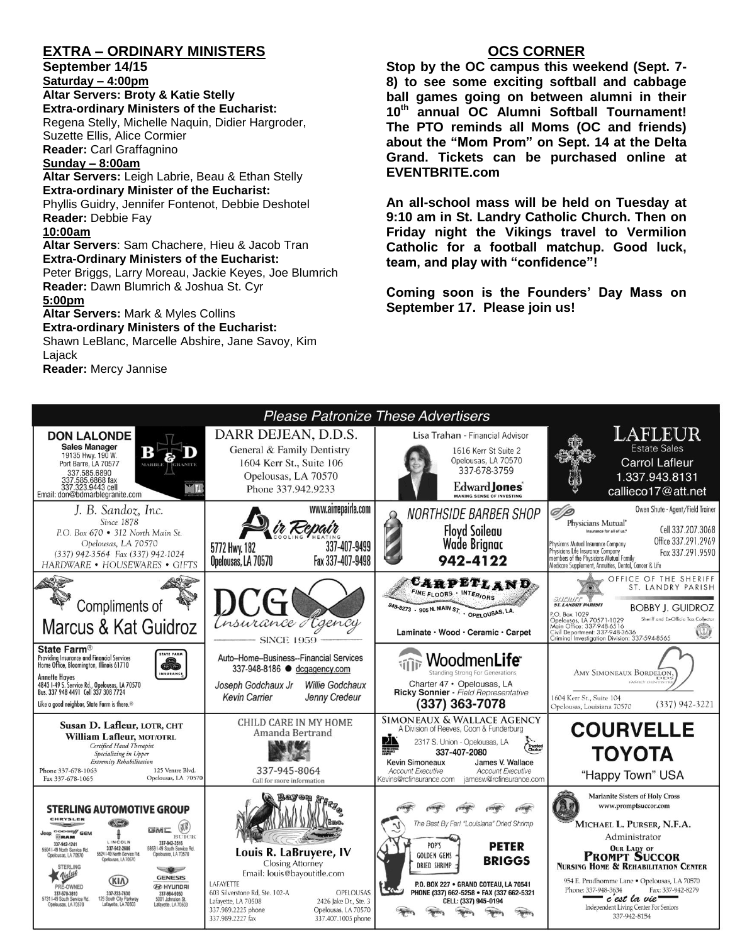# **EXTRA – ORDINARY MINISTERS**

**September 14/15**

**Saturday – 4:00pm** 

**Altar Servers: Broty & Katie Stelly Extra-ordinary Ministers of the Eucharist:**  Regena Stelly, Michelle Naquin, Didier Hargroder, Suzette Ellis, Alice Cormier **Reader:** Carl Graffagnino

#### **Sunday – 8:00am**

**Altar Servers:** Leigh Labrie, Beau & Ethan Stelly **Extra-ordinary Minister of the Eucharist:** Phyllis Guidry, Jennifer Fontenot, Debbie Deshotel **Reader:** Debbie Fay

#### **10:00am**

**Altar Servers**: Sam Chachere, Hieu & Jacob Tran **Extra-Ordinary Ministers of the Eucharist:**

Peter Briggs, Larry Moreau, Jackie Keyes, Joe Blumrich **Reader:** Dawn Blumrich & Joshua St. Cyr

#### **5:00pm**

# **Altar Servers:** Mark & Myles Collins **Extra-ordinary Ministers of the Eucharist:**

Shawn LeBlanc, Marcelle Abshire, Jane Savoy, Kim Lajack **Reader:** Mercy Jannise

### **OCS CORNER**

**Stop by the OC campus this weekend (Sept. 7- 8) to see some exciting softball and cabbage ball games going on between alumni in their 10th annual OC Alumni Softball Tournament! The PTO reminds all Moms (OC and friends) about the "Mom Prom" on Sept. 14 at the Delta Grand. Tickets can be purchased online at EVENTBRITE.com**

**An all-school mass will be held on Tuesday at 9:10 am in St. Landry Catholic Church. Then on Friday night the Vikings travel to Vermilion Catholic for a football matchup. Good luck, team, and play with "confidence"!**

**Coming soon is the Founders' Day Mass on September 17. Please join us!**